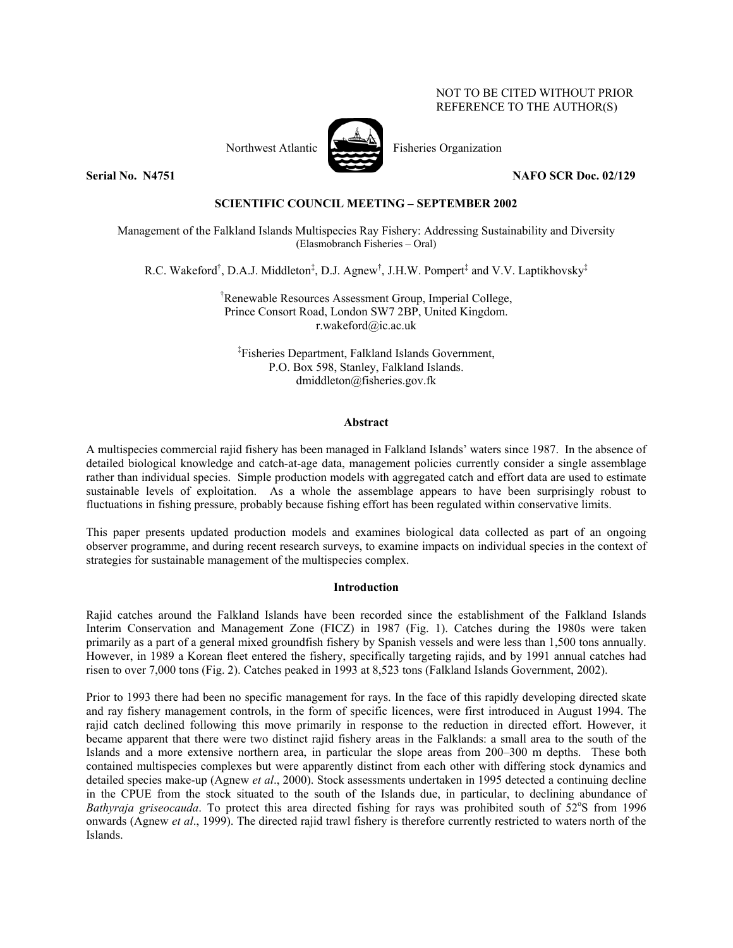# NOT TO BE CITED WITHOUT PRIOR REFERENCE TO THE AUTHOR(S)



Northwest Atlantic Fisheries Organization

**Serial No. N4751 NAFO SCR Doc. 02/129** 

## **SCIENTIFIC COUNCIL MEETING – SEPTEMBER 2002**

Management of the Falkland Islands Multispecies Ray Fishery: Addressing Sustainability and Diversity (Elasmobranch Fisheries – Oral)

R.C. Wakeford<sup>†</sup>, D.A.J. Middleton<sup>‡</sup>, D.J. Agnew<sup>†</sup>, J.H.W. Pompert<sup>‡</sup> and V.V. Laptikhovsky<sup>‡</sup>

† Renewable Resources Assessment Group, Imperial College, Prince Consort Road, London SW7 2BP, United Kingdom. r.wakeford@ic.ac.uk

‡ Fisheries Department, Falkland Islands Government, P.O. Box 598, Stanley, Falkland Islands. dmiddleton@fisheries.gov.fk

## **Abstract**

A multispecies commercial rajid fishery has been managed in Falkland Islands' waters since 1987. In the absence of detailed biological knowledge and catch-at-age data, management policies currently consider a single assemblage rather than individual species. Simple production models with aggregated catch and effort data are used to estimate sustainable levels of exploitation. As a whole the assemblage appears to have been surprisingly robust to fluctuations in fishing pressure, probably because fishing effort has been regulated within conservative limits.

This paper presents updated production models and examines biological data collected as part of an ongoing observer programme, and during recent research surveys, to examine impacts on individual species in the context of strategies for sustainable management of the multispecies complex.

## **Introduction**

Rajid catches around the Falkland Islands have been recorded since the establishment of the Falkland Islands Interim Conservation and Management Zone (FICZ) in 1987 (Fig. 1). Catches during the 1980s were taken primarily as a part of a general mixed groundfish fishery by Spanish vessels and were less than 1,500 tons annually. However, in 1989 a Korean fleet entered the fishery, specifically targeting rajids, and by 1991 annual catches had risen to over 7,000 tons (Fig. 2). Catches peaked in 1993 at 8,523 tons (Falkland Islands Government, 2002).

Prior to 1993 there had been no specific management for rays. In the face of this rapidly developing directed skate and ray fishery management controls, in the form of specific licences, were first introduced in August 1994. The rajid catch declined following this move primarily in response to the reduction in directed effort. However, it became apparent that there were two distinct rajid fishery areas in the Falklands: a small area to the south of the Islands and a more extensive northern area, in particular the slope areas from 200–300 m depths. These both contained multispecies complexes but were apparently distinct from each other with differing stock dynamics and detailed species make-up (Agnew *et al*., 2000). Stock assessments undertaken in 1995 detected a continuing decline in the CPUE from the stock situated to the south of the Islands due, in particular, to declining abundance of Bathyraja griseocauda. To protect this area directed fishing for rays was prohibited south of 52°S from 1996 onwards (Agnew *et al*., 1999). The directed rajid trawl fishery is therefore currently restricted to waters north of the Islands.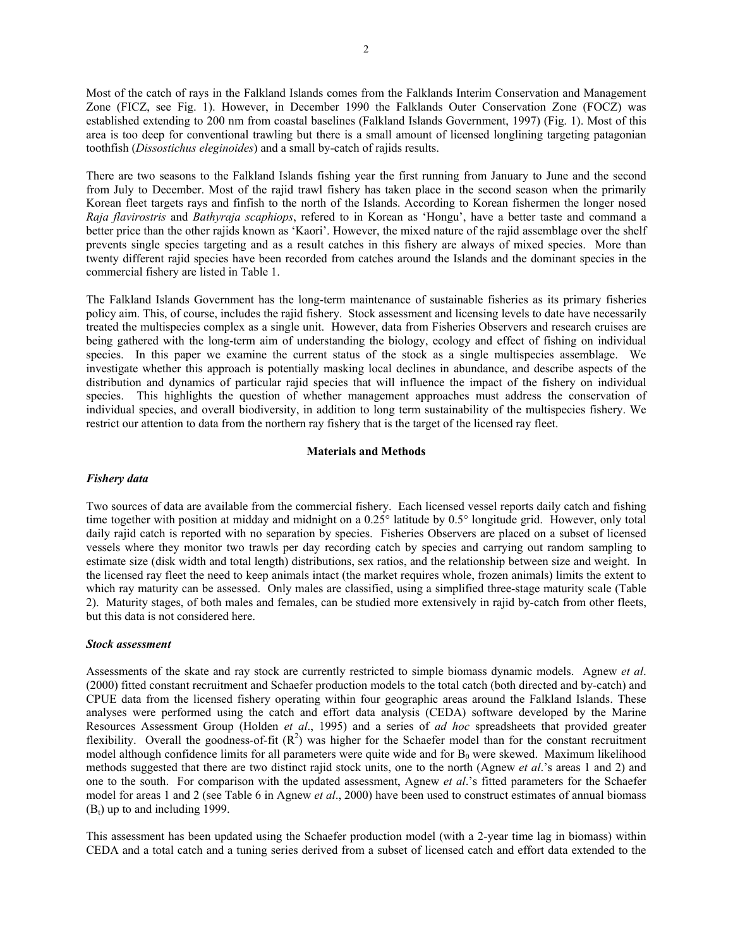Most of the catch of rays in the Falkland Islands comes from the Falklands Interim Conservation and Management Zone (FICZ, see Fig. 1). However, in December 1990 the Falklands Outer Conservation Zone (FOCZ) was established extending to 200 nm from coastal baselines (Falkland Islands Government, 1997) (Fig. 1). Most of this area is too deep for conventional trawling but there is a small amount of licensed longlining targeting patagonian toothfish (*Dissostichus eleginoides*) and a small by-catch of rajids results.

There are two seasons to the Falkland Islands fishing year the first running from January to June and the second from July to December. Most of the rajid trawl fishery has taken place in the second season when the primarily Korean fleet targets rays and finfish to the north of the Islands. According to Korean fishermen the longer nosed *Raja flavirostris* and *Bathyraja scaphiops*, refered to in Korean as 'Hongu', have a better taste and command a better price than the other rajids known as 'Kaori'. However, the mixed nature of the rajid assemblage over the shelf prevents single species targeting and as a result catches in this fishery are always of mixed species. More than twenty different rajid species have been recorded from catches around the Islands and the dominant species in the commercial fishery are listed in Table 1.

The Falkland Islands Government has the long-term maintenance of sustainable fisheries as its primary fisheries policy aim. This, of course, includes the rajid fishery. Stock assessment and licensing levels to date have necessarily treated the multispecies complex as a single unit. However, data from Fisheries Observers and research cruises are being gathered with the long-term aim of understanding the biology, ecology and effect of fishing on individual species. In this paper we examine the current status of the stock as a single multispecies assemblage. We investigate whether this approach is potentially masking local declines in abundance, and describe aspects of the distribution and dynamics of particular rajid species that will influence the impact of the fishery on individual species. This highlights the question of whether management approaches must address the conservation of individual species, and overall biodiversity, in addition to long term sustainability of the multispecies fishery. We restrict our attention to data from the northern ray fishery that is the target of the licensed ray fleet.

#### **Materials and Methods**

#### *Fishery data*

Two sources of data are available from the commercial fishery. Each licensed vessel reports daily catch and fishing time together with position at midday and midnight on a 0.25° latitude by 0.5° longitude grid. However, only total daily rajid catch is reported with no separation by species. Fisheries Observers are placed on a subset of licensed vessels where they monitor two trawls per day recording catch by species and carrying out random sampling to estimate size (disk width and total length) distributions, sex ratios, and the relationship between size and weight. In the licensed ray fleet the need to keep animals intact (the market requires whole, frozen animals) limits the extent to which ray maturity can be assessed. Only males are classified, using a simplified three-stage maturity scale (Table 2). Maturity stages, of both males and females, can be studied more extensively in rajid by-catch from other fleets, but this data is not considered here.

#### *Stock assessment*

Assessments of the skate and ray stock are currently restricted to simple biomass dynamic models. Agnew *et al*. (2000) fitted constant recruitment and Schaefer production models to the total catch (both directed and by-catch) and CPUE data from the licensed fishery operating within four geographic areas around the Falkland Islands. These analyses were performed using the catch and effort data analysis (CEDA) software developed by the Marine Resources Assessment Group (Holden *et al*., 1995) and a series of *ad hoc* spreadsheets that provided greater flexibility. Overall the goodness-of-fit  $(R^2)$  was higher for the Schaefer model than for the constant recruitment model although confidence limits for all parameters were quite wide and for  $B_0$  were skewed. Maximum likelihood methods suggested that there are two distinct rajid stock units, one to the north (Agnew *et al*.'s areas 1 and 2) and one to the south. For comparison with the updated assessment, Agnew *et al*.'s fitted parameters for the Schaefer model for areas 1 and 2 (see Table 6 in Agnew *et al*., 2000) have been used to construct estimates of annual biomass  $(B<sub>t</sub>)$  up to and including 1999.

This assessment has been updated using the Schaefer production model (with a 2-year time lag in biomass) within CEDA and a total catch and a tuning series derived from a subset of licensed catch and effort data extended to the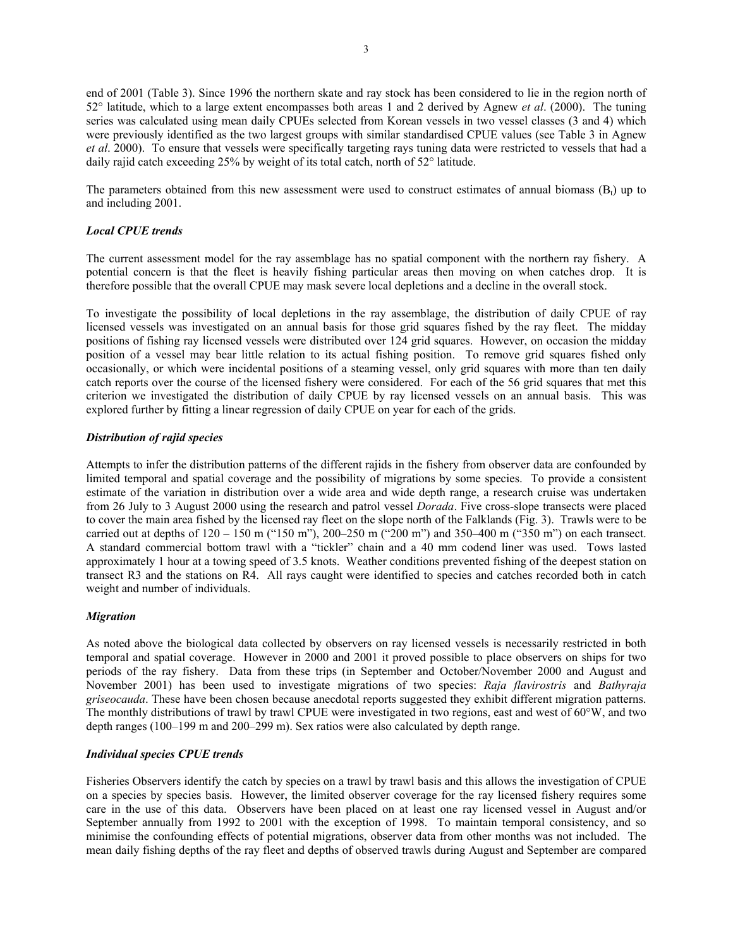end of 2001 (Table 3). Since 1996 the northern skate and ray stock has been considered to lie in the region north of 52° latitude, which to a large extent encompasses both areas 1 and 2 derived by Agnew *et al*. (2000). The tuning series was calculated using mean daily CPUEs selected from Korean vessels in two vessel classes (3 and 4) which were previously identified as the two largest groups with similar standardised CPUE values (see Table 3 in Agnew *et al*. 2000). To ensure that vessels were specifically targeting rays tuning data were restricted to vessels that had a daily rajid catch exceeding 25% by weight of its total catch, north of 52° latitude.

The parameters obtained from this new assessment were used to construct estimates of annual biomass  $(B_t)$  up to and including 2001.

# *Local CPUE trends*

The current assessment model for the ray assemblage has no spatial component with the northern ray fishery. A potential concern is that the fleet is heavily fishing particular areas then moving on when catches drop. It is therefore possible that the overall CPUE may mask severe local depletions and a decline in the overall stock.

To investigate the possibility of local depletions in the ray assemblage, the distribution of daily CPUE of ray licensed vessels was investigated on an annual basis for those grid squares fished by the ray fleet. The midday positions of fishing ray licensed vessels were distributed over 124 grid squares. However, on occasion the midday position of a vessel may bear little relation to its actual fishing position. To remove grid squares fished only occasionally, or which were incidental positions of a steaming vessel, only grid squares with more than ten daily catch reports over the course of the licensed fishery were considered. For each of the 56 grid squares that met this criterion we investigated the distribution of daily CPUE by ray licensed vessels on an annual basis. This was explored further by fitting a linear regression of daily CPUE on year for each of the grids.

## *Distribution of rajid species*

Attempts to infer the distribution patterns of the different rajids in the fishery from observer data are confounded by limited temporal and spatial coverage and the possibility of migrations by some species. To provide a consistent estimate of the variation in distribution over a wide area and wide depth range, a research cruise was undertaken from 26 July to 3 August 2000 using the research and patrol vessel *Dorada*. Five cross-slope transects were placed to cover the main area fished by the licensed ray fleet on the slope north of the Falklands (Fig. 3). Trawls were to be carried out at depths of 120 – 150 m ("150 m"), 200–250 m ("200 m") and 350–400 m ("350 m") on each transect. A standard commercial bottom trawl with a "tickler" chain and a 40 mm codend liner was used. Tows lasted approximately 1 hour at a towing speed of 3.5 knots. Weather conditions prevented fishing of the deepest station on transect R3 and the stations on R4. All rays caught were identified to species and catches recorded both in catch weight and number of individuals.

# *Migration*

As noted above the biological data collected by observers on ray licensed vessels is necessarily restricted in both temporal and spatial coverage. However in 2000 and 2001 it proved possible to place observers on ships for two periods of the ray fishery. Data from these trips (in September and October/November 2000 and August and November 2001) has been used to investigate migrations of two species: *Raja flavirostris* and *Bathyraja griseocauda*. These have been chosen because anecdotal reports suggested they exhibit different migration patterns. The monthly distributions of trawl by trawl CPUE were investigated in two regions, east and west of 60°W, and two depth ranges (100–199 m and 200–299 m). Sex ratios were also calculated by depth range.

# *Individual species CPUE trends*

Fisheries Observers identify the catch by species on a trawl by trawl basis and this allows the investigation of CPUE on a species by species basis. However, the limited observer coverage for the ray licensed fishery requires some care in the use of this data. Observers have been placed on at least one ray licensed vessel in August and/or September annually from 1992 to 2001 with the exception of 1998. To maintain temporal consistency, and so minimise the confounding effects of potential migrations, observer data from other months was not included. The mean daily fishing depths of the ray fleet and depths of observed trawls during August and September are compared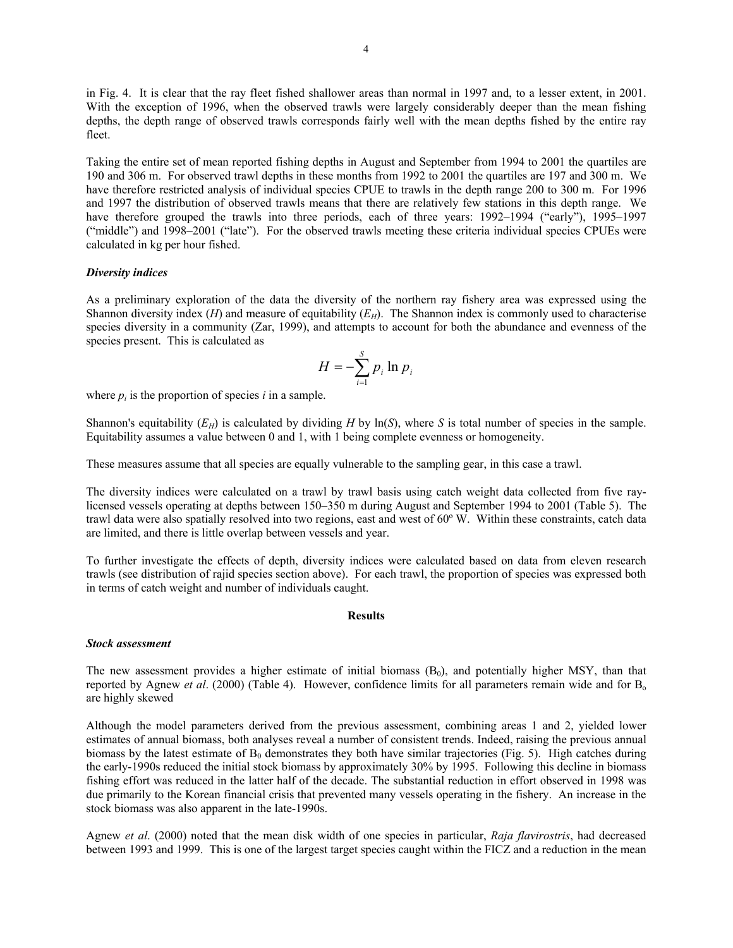in Fig. 4. It is clear that the ray fleet fished shallower areas than normal in 1997 and, to a lesser extent, in 2001. With the exception of 1996, when the observed trawls were largely considerably deeper than the mean fishing depths, the depth range of observed trawls corresponds fairly well with the mean depths fished by the entire ray fleet.

Taking the entire set of mean reported fishing depths in August and September from 1994 to 2001 the quartiles are 190 and 306 m. For observed trawl depths in these months from 1992 to 2001 the quartiles are 197 and 300 m. We have therefore restricted analysis of individual species CPUE to trawls in the depth range 200 to 300 m. For 1996 and 1997 the distribution of observed trawls means that there are relatively few stations in this depth range. We have therefore grouped the trawls into three periods, each of three years: 1992–1994 ("early"), 1995–1997 ("middle") and 1998–2001 ("late"). For the observed trawls meeting these criteria individual species CPUEs were calculated in kg per hour fished.

## *Diversity indices*

As a preliminary exploration of the data the diversity of the northern ray fishery area was expressed using the Shannon diversity index  $(H)$  and measure of equitability  $(E_H)$ . The Shannon index is commonly used to characterise species diversity in a community (Zar, 1999), and attempts to account for both the abundance and evenness of the species present. This is calculated as

$$
H = -\sum_{i=1}^{S} p_i \ln p_i
$$

where  $p_i$  is the proportion of species  $i$  in a sample.

Shannon's equitability  $(E_H)$  is calculated by dividing *H* by  $\ln(S)$ , where *S* is total number of species in the sample. Equitability assumes a value between 0 and 1, with 1 being complete evenness or homogeneity.

These measures assume that all species are equally vulnerable to the sampling gear, in this case a trawl.

The diversity indices were calculated on a trawl by trawl basis using catch weight data collected from five raylicensed vessels operating at depths between 150–350 m during August and September 1994 to 2001 (Table 5). The trawl data were also spatially resolved into two regions, east and west of 60º W. Within these constraints, catch data are limited, and there is little overlap between vessels and year.

To further investigate the effects of depth, diversity indices were calculated based on data from eleven research trawls (see distribution of rajid species section above). For each trawl, the proportion of species was expressed both in terms of catch weight and number of individuals caught.

#### **Results**

#### *Stock assessment*

The new assessment provides a higher estimate of initial biomass  $(B<sub>0</sub>)$ , and potentially higher MSY, than that reported by Agnew *et al.* (2000) (Table 4). However, confidence limits for all parameters remain wide and for B<sub>o</sub> are highly skewed

Although the model parameters derived from the previous assessment, combining areas 1 and 2, yielded lower estimates of annual biomass, both analyses reveal a number of consistent trends. Indeed, raising the previous annual biomass by the latest estimate of  $B_0$  demonstrates they both have similar trajectories (Fig. 5). High catches during the early-1990s reduced the initial stock biomass by approximately 30% by 1995. Following this decline in biomass fishing effort was reduced in the latter half of the decade. The substantial reduction in effort observed in 1998 was due primarily to the Korean financial crisis that prevented many vessels operating in the fishery. An increase in the stock biomass was also apparent in the late-1990s.

Agnew *et al*. (2000) noted that the mean disk width of one species in particular, *Raja flavirostris*, had decreased between 1993 and 1999. This is one of the largest target species caught within the FICZ and a reduction in the mean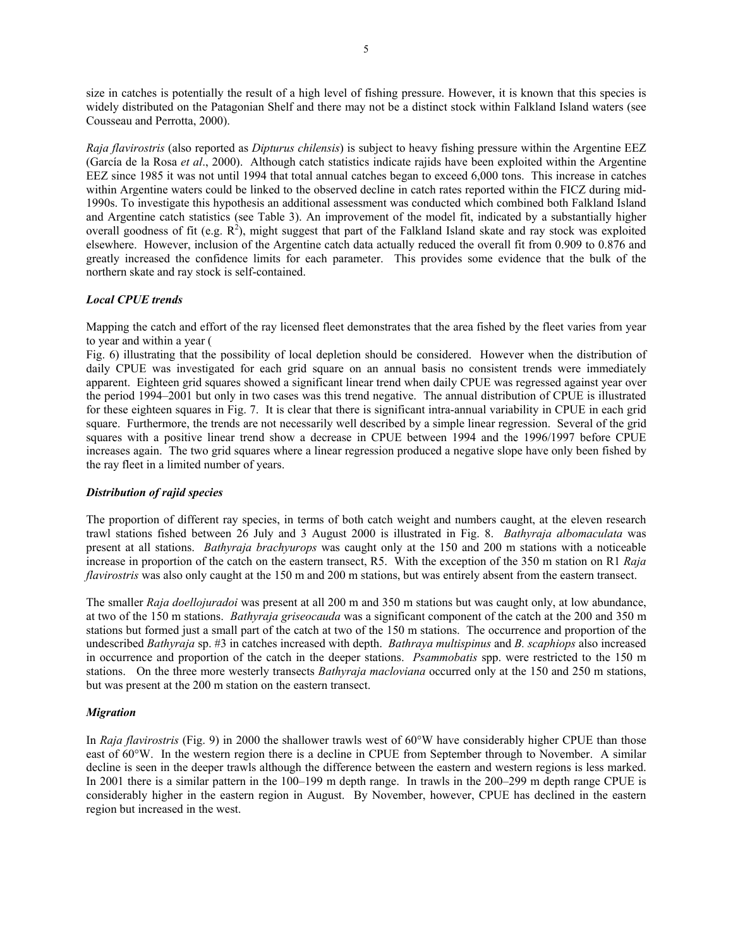size in catches is potentially the result of a high level of fishing pressure. However, it is known that this species is widely distributed on the Patagonian Shelf and there may not be a distinct stock within Falkland Island waters (see Cousseau and Perrotta, 2000).

*Raja flavirostris* (also reported as *Dipturus chilensis*) is subject to heavy fishing pressure within the Argentine EEZ (García de la Rosa *et al*., 2000). Although catch statistics indicate rajids have been exploited within the Argentine EEZ since 1985 it was not until 1994 that total annual catches began to exceed 6,000 tons. This increase in catches within Argentine waters could be linked to the observed decline in catch rates reported within the FICZ during mid-1990s. To investigate this hypothesis an additional assessment was conducted which combined both Falkland Island and Argentine catch statistics (see Table 3). An improvement of the model fit, indicated by a substantially higher overall goodness of fit (e.g.  $\mathbb{R}^2$ ), might suggest that part of the Falkland Island skate and ray stock was exploited elsewhere. However, inclusion of the Argentine catch data actually reduced the overall fit from 0.909 to 0.876 and greatly increased the confidence limits for each parameter. This provides some evidence that the bulk of the northern skate and ray stock is self-contained.

# *Local CPUE trends*

Mapping the catch and effort of the ray licensed fleet demonstrates that the area fished by the fleet varies from year to year and within a year (

Fig. 6) illustrating that the possibility of local depletion should be considered. However when the distribution of daily CPUE was investigated for each grid square on an annual basis no consistent trends were immediately apparent. Eighteen grid squares showed a significant linear trend when daily CPUE was regressed against year over the period 1994–2001 but only in two cases was this trend negative. The annual distribution of CPUE is illustrated for these eighteen squares in Fig. 7. It is clear that there is significant intra-annual variability in CPUE in each grid square. Furthermore, the trends are not necessarily well described by a simple linear regression. Several of the grid squares with a positive linear trend show a decrease in CPUE between 1994 and the 1996/1997 before CPUE increases again. The two grid squares where a linear regression produced a negative slope have only been fished by the ray fleet in a limited number of years.

## *Distribution of rajid species*

The proportion of different ray species, in terms of both catch weight and numbers caught, at the eleven research trawl stations fished between 26 July and 3 August 2000 is illustrated in Fig. 8. *Bathyraja albomaculata* was present at all stations. *Bathyraja brachyurops* was caught only at the 150 and 200 m stations with a noticeable increase in proportion of the catch on the eastern transect, R5. With the exception of the 350 m station on R1 *Raja flavirostris* was also only caught at the 150 m and 200 m stations, but was entirely absent from the eastern transect.

The smaller *Raja doellojuradoi* was present at all 200 m and 350 m stations but was caught only, at low abundance, at two of the 150 m stations. *Bathyraja griseocauda* was a significant component of the catch at the 200 and 350 m stations but formed just a small part of the catch at two of the 150 m stations. The occurrence and proportion of the undescribed *Bathyraja* sp. #3 in catches increased with depth. *Bathraya multispinus* and *B. scaphiops* also increased in occurrence and proportion of the catch in the deeper stations. *Psammobatis* spp. were restricted to the 150 m stations. On the three more westerly transects *Bathyraja macloviana* occurred only at the 150 and 250 m stations, but was present at the 200 m station on the eastern transect.

## *Migration*

In *Raja flavirostris* (Fig. 9) in 2000 the shallower trawls west of 60°W have considerably higher CPUE than those east of 60°W. In the western region there is a decline in CPUE from September through to November. A similar decline is seen in the deeper trawls although the difference between the eastern and western regions is less marked. In 2001 there is a similar pattern in the 100–199 m depth range. In trawls in the 200–299 m depth range CPUE is considerably higher in the eastern region in August. By November, however, CPUE has declined in the eastern region but increased in the west.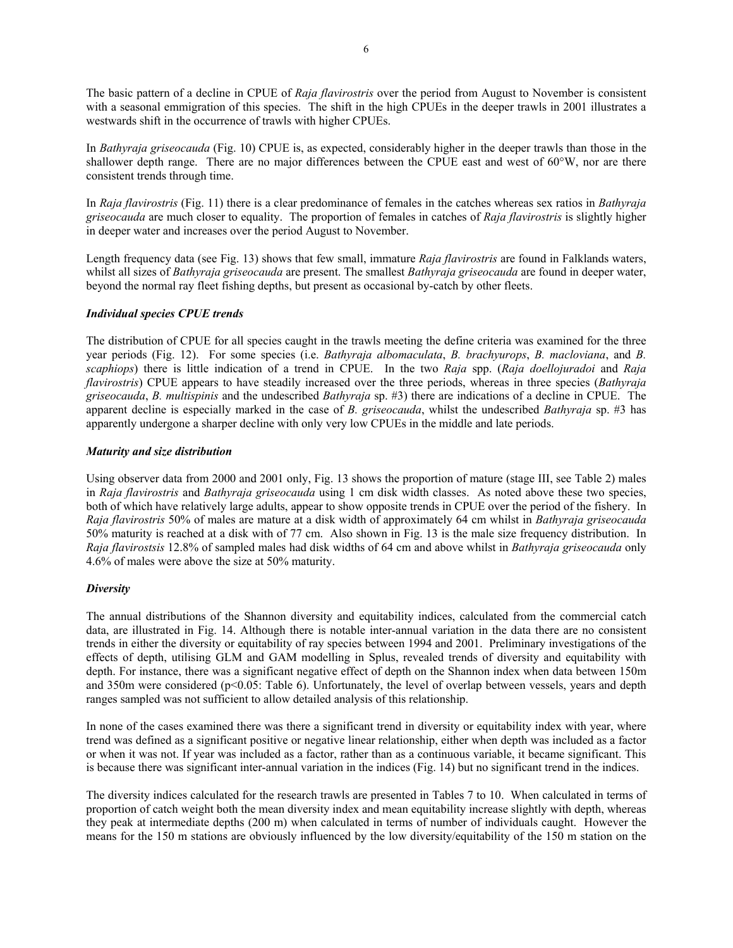The basic pattern of a decline in CPUE of *Raja flavirostris* over the period from August to November is consistent with a seasonal emmigration of this species. The shift in the high CPUEs in the deeper trawls in 2001 illustrates a westwards shift in the occurrence of trawls with higher CPUEs.

In *Bathyraja griseocauda* (Fig. 10) CPUE is, as expected, considerably higher in the deeper trawls than those in the shallower depth range. There are no major differences between the CPUE east and west of 60°W, nor are there consistent trends through time.

In *Raja flavirostris* (Fig. 11) there is a clear predominance of females in the catches whereas sex ratios in *Bathyraja griseocauda* are much closer to equality. The proportion of females in catches of *Raja flavirostris* is slightly higher in deeper water and increases over the period August to November.

Length frequency data (see Fig. 13) shows that few small, immature *Raja flavirostris* are found in Falklands waters, whilst all sizes of *Bathyraja griseocauda* are present. The smallest *Bathyraja griseocauda* are found in deeper water, beyond the normal ray fleet fishing depths, but present as occasional by-catch by other fleets.

## *Individual species CPUE trends*

The distribution of CPUE for all species caught in the trawls meeting the define criteria was examined for the three year periods (Fig. 12). For some species (i.e. *Bathyraja albomaculata*, *B. brachyurops*, *B. macloviana*, and *B. scaphiops*) there is little indication of a trend in CPUE. In the two *Raja* spp. (*Raja doellojuradoi* and *Raja flavirostris*) CPUE appears to have steadily increased over the three periods, whereas in three species (*Bathyraja griseocauda*, *B. multispinis* and the undescribed *Bathyraja* sp. #3) there are indications of a decline in CPUE. The apparent decline is especially marked in the case of *B. griseocauda*, whilst the undescribed *Bathyraja* sp. #3 has apparently undergone a sharper decline with only very low CPUEs in the middle and late periods.

## *Maturity and size distribution*

Using observer data from 2000 and 2001 only, Fig. 13 shows the proportion of mature (stage III, see Table 2) males in *Raja flavirostris* and *Bathyraja griseocauda* using 1 cm disk width classes. As noted above these two species, both of which have relatively large adults, appear to show opposite trends in CPUE over the period of the fishery. In *Raja flavirostris* 50% of males are mature at a disk width of approximately 64 cm whilst in *Bathyraja griseocauda* 50% maturity is reached at a disk with of 77 cm. Also shown in Fig. 13 is the male size frequency distribution. In *Raja flavirostsis* 12.8% of sampled males had disk widths of 64 cm and above whilst in *Bathyraja griseocauda* only 4.6% of males were above the size at 50% maturity.

# *Diversity*

The annual distributions of the Shannon diversity and equitability indices, calculated from the commercial catch data, are illustrated in Fig. 14. Although there is notable inter-annual variation in the data there are no consistent trends in either the diversity or equitability of ray species between 1994 and 2001. Preliminary investigations of the effects of depth, utilising GLM and GAM modelling in Splus, revealed trends of diversity and equitability with depth. For instance, there was a significant negative effect of depth on the Shannon index when data between 150m and 350m were considered (p<0.05: Table 6). Unfortunately, the level of overlap between vessels, years and depth ranges sampled was not sufficient to allow detailed analysis of this relationship.

In none of the cases examined there was there a significant trend in diversity or equitability index with year, where trend was defined as a significant positive or negative linear relationship, either when depth was included as a factor or when it was not. If year was included as a factor, rather than as a continuous variable, it became significant. This is because there was significant inter-annual variation in the indices (Fig. 14) but no significant trend in the indices.

The diversity indices calculated for the research trawls are presented in Tables 7 to 10. When calculated in terms of proportion of catch weight both the mean diversity index and mean equitability increase slightly with depth, whereas they peak at intermediate depths (200 m) when calculated in terms of number of individuals caught. However the means for the 150 m stations are obviously influenced by the low diversity/equitability of the 150 m station on the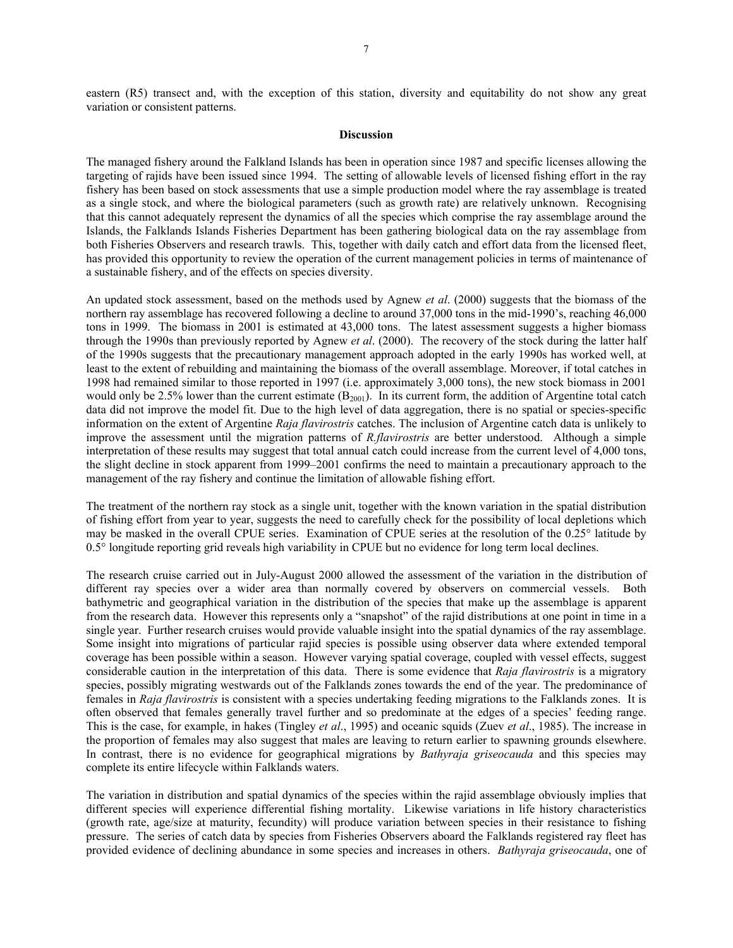eastern (R5) transect and, with the exception of this station, diversity and equitability do not show any great variation or consistent patterns.

## **Discussion**

The managed fishery around the Falkland Islands has been in operation since 1987 and specific licenses allowing the targeting of rajids have been issued since 1994. The setting of allowable levels of licensed fishing effort in the ray fishery has been based on stock assessments that use a simple production model where the ray assemblage is treated as a single stock, and where the biological parameters (such as growth rate) are relatively unknown. Recognising that this cannot adequately represent the dynamics of all the species which comprise the ray assemblage around the Islands, the Falklands Islands Fisheries Department has been gathering biological data on the ray assemblage from both Fisheries Observers and research trawls. This, together with daily catch and effort data from the licensed fleet, has provided this opportunity to review the operation of the current management policies in terms of maintenance of a sustainable fishery, and of the effects on species diversity.

An updated stock assessment, based on the methods used by Agnew *et al*. (2000) suggests that the biomass of the northern ray assemblage has recovered following a decline to around 37,000 tons in the mid-1990's, reaching 46,000 tons in 1999. The biomass in 2001 is estimated at 43,000 tons. The latest assessment suggests a higher biomass through the 1990s than previously reported by Agnew *et al*. (2000). The recovery of the stock during the latter half of the 1990s suggests that the precautionary management approach adopted in the early 1990s has worked well, at least to the extent of rebuilding and maintaining the biomass of the overall assemblage. Moreover, if total catches in 1998 had remained similar to those reported in 1997 (i.e. approximately 3,000 tons), the new stock biomass in 2001 would only be 2.5% lower than the current estimate  $(B_{2001})$ . In its current form, the addition of Argentine total catch data did not improve the model fit. Due to the high level of data aggregation, there is no spatial or species-specific information on the extent of Argentine *Raja flavirostris* catches. The inclusion of Argentine catch data is unlikely to improve the assessment until the migration patterns of *R.flavirostris* are better understood. Although a simple interpretation of these results may suggest that total annual catch could increase from the current level of 4,000 tons, the slight decline in stock apparent from 1999–2001 confirms the need to maintain a precautionary approach to the management of the ray fishery and continue the limitation of allowable fishing effort.

The treatment of the northern ray stock as a single unit, together with the known variation in the spatial distribution of fishing effort from year to year, suggests the need to carefully check for the possibility of local depletions which may be masked in the overall CPUE series. Examination of CPUE series at the resolution of the 0.25° latitude by 0.5° longitude reporting grid reveals high variability in CPUE but no evidence for long term local declines.

The research cruise carried out in July-August 2000 allowed the assessment of the variation in the distribution of different ray species over a wider area than normally covered by observers on commercial vessels. Both bathymetric and geographical variation in the distribution of the species that make up the assemblage is apparent from the research data. However this represents only a "snapshot" of the rajid distributions at one point in time in a single year. Further research cruises would provide valuable insight into the spatial dynamics of the ray assemblage. Some insight into migrations of particular rajid species is possible using observer data where extended temporal coverage has been possible within a season. However varying spatial coverage, coupled with vessel effects, suggest considerable caution in the interpretation of this data. There is some evidence that *Raja flavirostris* is a migratory species, possibly migrating westwards out of the Falklands zones towards the end of the year. The predominance of females in *Raja flavirostris* is consistent with a species undertaking feeding migrations to the Falklands zones. It is often observed that females generally travel further and so predominate at the edges of a species' feeding range. This is the case, for example, in hakes (Tingley *et al*., 1995) and oceanic squids (Zuev *et al*., 1985). The increase in the proportion of females may also suggest that males are leaving to return earlier to spawning grounds elsewhere. In contrast, there is no evidence for geographical migrations by *Bathyraja griseocauda* and this species may complete its entire lifecycle within Falklands waters.

The variation in distribution and spatial dynamics of the species within the rajid assemblage obviously implies that different species will experience differential fishing mortality. Likewise variations in life history characteristics (growth rate, age/size at maturity, fecundity) will produce variation between species in their resistance to fishing pressure. The series of catch data by species from Fisheries Observers aboard the Falklands registered ray fleet has provided evidence of declining abundance in some species and increases in others. *Bathyraja griseocauda*, one of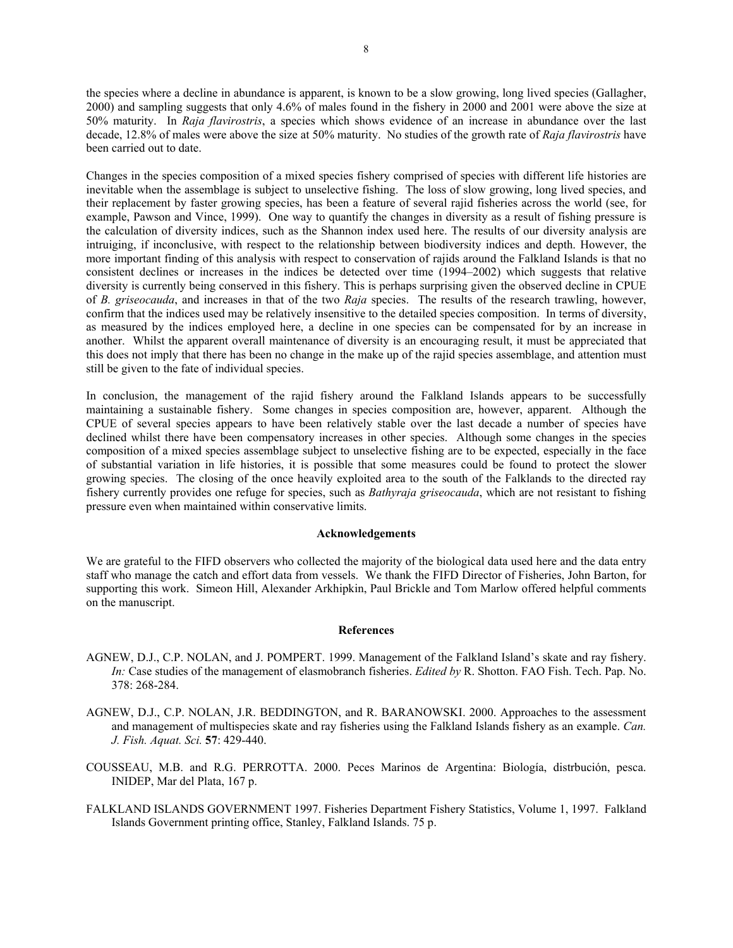the species where a decline in abundance is apparent, is known to be a slow growing, long lived species (Gallagher, 2000) and sampling suggests that only 4.6% of males found in the fishery in 2000 and 2001 were above the size at 50% maturity. In *Raja flavirostris*, a species which shows evidence of an increase in abundance over the last decade, 12.8% of males were above the size at 50% maturity. No studies of the growth rate of *Raja flavirostris* have been carried out to date.

Changes in the species composition of a mixed species fishery comprised of species with different life histories are inevitable when the assemblage is subject to unselective fishing. The loss of slow growing, long lived species, and their replacement by faster growing species, has been a feature of several rajid fisheries across the world (see, for example, Pawson and Vince, 1999). One way to quantify the changes in diversity as a result of fishing pressure is the calculation of diversity indices, such as the Shannon index used here. The results of our diversity analysis are intruiging, if inconclusive, with respect to the relationship between biodiversity indices and depth. However, the more important finding of this analysis with respect to conservation of rajids around the Falkland Islands is that no consistent declines or increases in the indices be detected over time (1994–2002) which suggests that relative diversity is currently being conserved in this fishery. This is perhaps surprising given the observed decline in CPUE of *B. griseocauda*, and increases in that of the two *Raja* species. The results of the research trawling, however, confirm that the indices used may be relatively insensitive to the detailed species composition. In terms of diversity, as measured by the indices employed here, a decline in one species can be compensated for by an increase in another. Whilst the apparent overall maintenance of diversity is an encouraging result, it must be appreciated that this does not imply that there has been no change in the make up of the rajid species assemblage, and attention must still be given to the fate of individual species.

In conclusion, the management of the rajid fishery around the Falkland Islands appears to be successfully maintaining a sustainable fishery. Some changes in species composition are, however, apparent. Although the CPUE of several species appears to have been relatively stable over the last decade a number of species have declined whilst there have been compensatory increases in other species. Although some changes in the species composition of a mixed species assemblage subject to unselective fishing are to be expected, especially in the face of substantial variation in life histories, it is possible that some measures could be found to protect the slower growing species. The closing of the once heavily exploited area to the south of the Falklands to the directed ray fishery currently provides one refuge for species, such as *Bathyraja griseocauda*, which are not resistant to fishing pressure even when maintained within conservative limits.

## **Acknowledgements**

We are grateful to the FIFD observers who collected the majority of the biological data used here and the data entry staff who manage the catch and effort data from vessels. We thank the FIFD Director of Fisheries, John Barton, for supporting this work. Simeon Hill, Alexander Arkhipkin, Paul Brickle and Tom Marlow offered helpful comments on the manuscript.

#### **References**

- AGNEW, D.J., C.P. NOLAN, and J. POMPERT. 1999. Management of the Falkland Island's skate and ray fishery. *In:* Case studies of the management of elasmobranch fisheries. *Edited by* R. Shotton. FAO Fish. Tech. Pap. No. 378: 268-284.
- AGNEW, D.J., C.P. NOLAN, J.R. BEDDINGTON, and R. BARANOWSKI. 2000. Approaches to the assessment and management of multispecies skate and ray fisheries using the Falkland Islands fishery as an example. *Can. J. Fish. Aquat. Sci.* **57**: 429-440.
- COUSSEAU, M.B. and R.G. PERROTTA. 2000. Peces Marinos de Argentina: Biología, distrbución, pesca. INIDEP, Mar del Plata, 167 p.
- FALKLAND ISLANDS GOVERNMENT 1997. Fisheries Department Fishery Statistics, Volume 1, 1997. Falkland Islands Government printing office, Stanley, Falkland Islands. 75 p.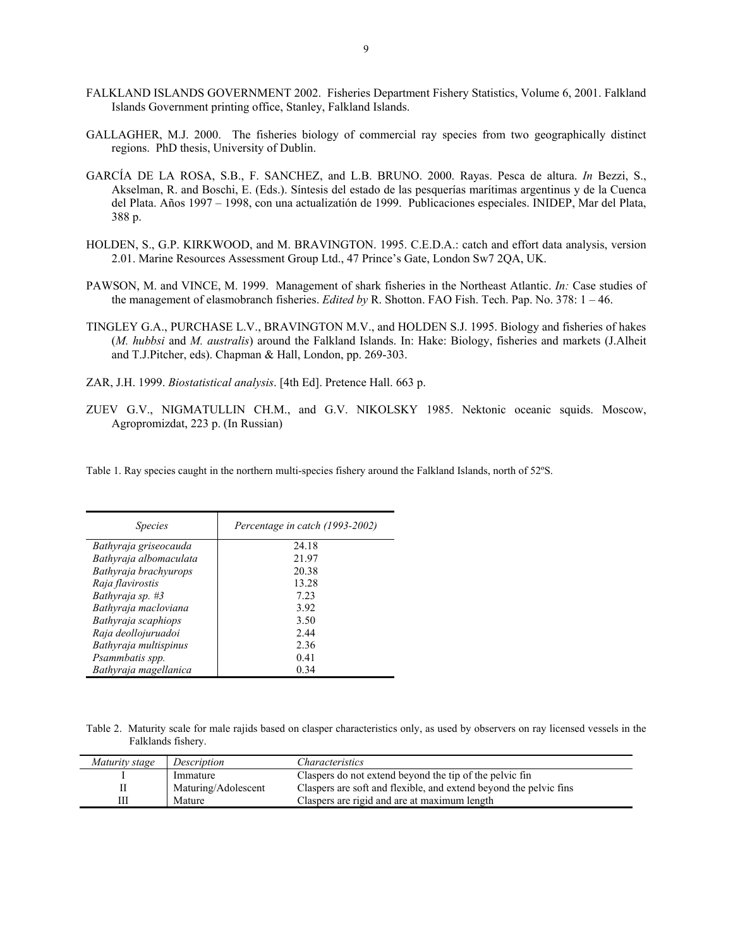- FALKLAND ISLANDS GOVERNMENT 2002. Fisheries Department Fishery Statistics, Volume 6, 2001. Falkland Islands Government printing office, Stanley, Falkland Islands.
- GALLAGHER, M.J. 2000. The fisheries biology of commercial ray species from two geographically distinct regions. PhD thesis, University of Dublin.
- GARCÍA DE LA ROSA, S.B., F. SANCHEZ, and L.B. BRUNO. 2000. Rayas. Pesca de altura. *In* Bezzi, S., Akselman, R. and Boschi, E. (Eds.). Síntesis del estado de las pesquerías marítimas argentinus y de la Cuenca del Plata. Años 1997 – 1998, con una actualizatión de 1999. Publicaciones especiales. INIDEP, Mar del Plata, 388 p.
- HOLDEN, S., G.P. KIRKWOOD, and M. BRAVINGTON. 1995. C.E.D.A.: catch and effort data analysis, version 2.01. Marine Resources Assessment Group Ltd., 47 Prince's Gate, London Sw7 2QA, UK.
- PAWSON, M. and VINCE, M. 1999. Management of shark fisheries in the Northeast Atlantic. *In:* Case studies of the management of elasmobranch fisheries. *Edited by* R. Shotton. FAO Fish. Tech. Pap. No. 378: 1 – 46.
- TINGLEY G.A., PURCHASE L.V., BRAVINGTON M.V., and HOLDEN S.J. 1995. Biology and fisheries of hakes (*M. hubbsi* and *M. australis*) around the Falkland Islands. In: Hake: Biology, fisheries and markets (J.Alheit and T.J.Pitcher, eds). Chapman & Hall, London, pp. 269-303.
- ZAR, J.H. 1999. *Biostatistical analysis*. [4th Ed]. Pretence Hall. 663 p.
- ZUEV G.V., NIGMATULLIN CH.M., and G.V. NIKOLSKY 1985. Nektonic oceanic squids. Moscow, Agropromizdat, 223 p. (In Russian)

Table 1. Ray species caught in the northern multi-species fishery around the Falkland Islands, north of 52ºS.

| <i>Species</i>         | Percentage in catch (1993-2002) |  |  |
|------------------------|---------------------------------|--|--|
| Bathyraja griseocauda  | 24.18                           |  |  |
| Bathyraja albomaculata | 21.97                           |  |  |
| Bathyraja brachyurops  | 20.38                           |  |  |
| Raja flavirostis       | 13.28                           |  |  |
| Bathyraja sp. #3       | 723                             |  |  |
| Bathyraja macloviana   | 3.92                            |  |  |
| Bathyraja scaphiops    | 3.50                            |  |  |
| Raja deollojuruadoi    | 2.44                            |  |  |
| Bathyraja multispinus  | 2.36                            |  |  |
| Psammbatis spp.        | 0.41                            |  |  |
| Bathyraja magellanica  | 0.34                            |  |  |

Table 2. Maturity scale for male rajids based on clasper characteristics only, as used by observers on ray licensed vessels in the Falklands fishery.

| Maturity stage | Description         | Characteristics                                                   |
|----------------|---------------------|-------------------------------------------------------------------|
|                | Immature            | Claspers do not extend beyond the tip of the pelvic fin           |
|                | Maturing/Adolescent | Claspers are soft and flexible, and extend beyond the pelvic fins |
|                | Mature              | Claspers are rigid and are at maximum length                      |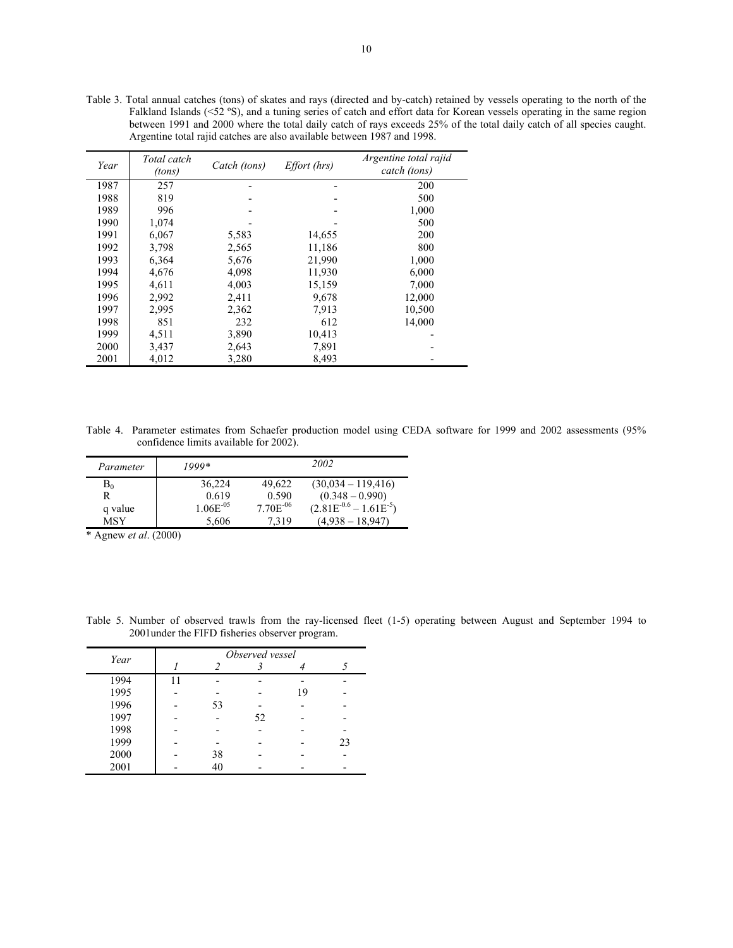Table 3. Total annual catches (tons) of skates and rays (directed and by-catch) retained by vessels operating to the north of the Falkland Islands (<52 °S), and a tuning series of catch and effort data for Korean vessels operating in the same region between 1991 and 2000 where the total daily catch of rays exceeds 25% of the total daily catch of all species caught. Argentine total rajid catches are also available between 1987 and 1998.

| Year | Total catch<br>(tons) | Catch (tons) | <i>Effort (hrs)</i> | Argentine total rajid<br>catch (tons) |
|------|-----------------------|--------------|---------------------|---------------------------------------|
| 1987 | 257                   |              |                     | 200                                   |
| 1988 | 819                   |              |                     | 500                                   |
| 1989 | 996                   |              |                     | 1,000                                 |
| 1990 | 1,074                 |              |                     | 500                                   |
| 1991 | 6,067                 | 5,583        | 14,655              | 200                                   |
| 1992 | 3,798                 | 2,565        | 11,186              | 800                                   |
| 1993 | 6,364                 | 5,676        | 21,990              | 1,000                                 |
| 1994 | 4,676                 | 4,098        | 11,930              | 6,000                                 |
| 1995 | 4,611                 | 4,003        | 15,159              | 7,000                                 |
| 1996 | 2,992                 | 2,411        | 9,678               | 12,000                                |
| 1997 | 2,995                 | 2,362        | 7.913               | 10,500                                |
| 1998 | 851                   | 232          | 612                 | 14,000                                |
| 1999 | 4,511                 | 3,890        | 10,413              |                                       |
| 2000 | 3,437                 | 2,643        | 7,891               |                                       |
| 2001 | 4,012                 | 3,280        | 8,493               |                                       |

Table 4. Parameter estimates from Schaefer production model using CEDA software for 1999 and 2002 assessments (95% confidence limits available for 2002).

| Parameter | 1999*          |               | 2002                          |
|-----------|----------------|---------------|-------------------------------|
| $B_0$     | 36,224         | 49,622        | $(30,034 - 119,416)$          |
|           | 0.619          | 0.590         | $(0.348 - 0.990)$             |
| q value   | $1.06E^{-0.5}$ | $7.70E^{-06}$ | $(2.81E^{-0.6} - 1.61E^{-5})$ |
| MSY       | 5,606          | 7,319         | $(4.938 - 18.947)$            |

\* Agnew *et al*. (2000)

Table 5. Number of observed trawls from the ray-licensed fleet (1-5) operating between August and September 1994 to 2001under the FIFD fisheries observer program.

| Year | Observed vessel |    |    |    |    |
|------|-----------------|----|----|----|----|
|      |                 |    |    |    |    |
| 1994 | 11              |    |    |    |    |
| 1995 |                 |    |    | 19 |    |
| 1996 |                 | 53 |    |    |    |
| 1997 |                 |    | 52 |    |    |
| 1998 |                 |    |    |    |    |
| 1999 |                 |    |    |    | 23 |
| 2000 |                 | 38 |    |    |    |
| 2001 |                 | 40 |    |    |    |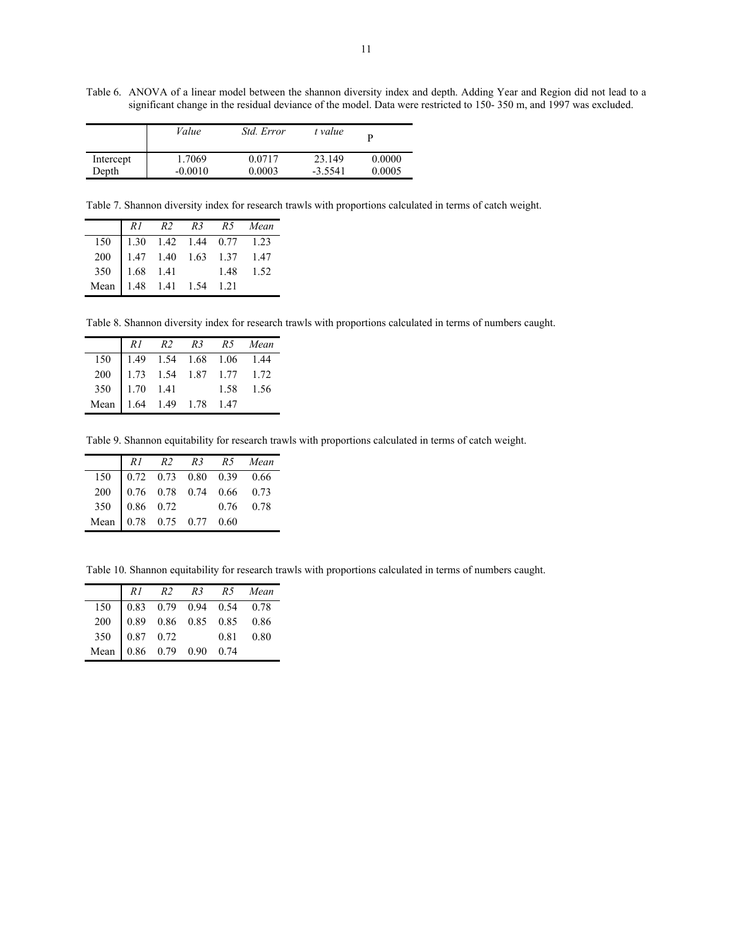Table 6.ANOVA of a linear model between the shannon diversity index and depth. Adding Year and Region did not lead to a significant change in the residual deviance of the model. Data were restricted to 150- 350 m, and 1997 was excluded.

|           | Value     | Std. Error | t value   |        |
|-----------|-----------|------------|-----------|--------|
| Intercept | 1.7069    | 0.0717     | 23.149    | 0.0000 |
| Depth     | $-0.0010$ | 0.0003     | $-3.5541$ | 0.0005 |

Table 7. Shannon diversity index for research trawls with proportions calculated in terms of catch weight.

|                                                                                                                     |  |  | R1 R2 R3 R5 Mean |
|---------------------------------------------------------------------------------------------------------------------|--|--|------------------|
|                                                                                                                     |  |  |                  |
|                                                                                                                     |  |  |                  |
|                                                                                                                     |  |  |                  |
| 150 1.30 1.42 1.44 0.77 1.23<br>200 1.47 1.40 1.63 1.37 1.47<br>350 1.68 1.41 1.48 1.52<br>Mean 1.48 1.41 1.54 1.21 |  |  |                  |

Table 8. Shannon diversity index for research trawls with proportions calculated in terms of numbers caught.

|                                                                                                                     |  |  | R1 R2 R3 R5 Mean |
|---------------------------------------------------------------------------------------------------------------------|--|--|------------------|
|                                                                                                                     |  |  |                  |
|                                                                                                                     |  |  |                  |
|                                                                                                                     |  |  |                  |
| 150 1.49 1.54 1.68 1.06 1.44<br>200 1.73 1.54 1.87 1.77 1.72<br>350 1.70 1.41 1.58 1.56<br>Mean 1.64 1.49 1.78 1.47 |  |  |                  |

Table 9. Shannon equitability for research trawls with proportions calculated in terms of catch weight.

|                                                                                                                                                                                            |  |  | R1 R2 R3 R5 Mean |
|--------------------------------------------------------------------------------------------------------------------------------------------------------------------------------------------|--|--|------------------|
|                                                                                                                                                                                            |  |  |                  |
|                                                                                                                                                                                            |  |  |                  |
|                                                                                                                                                                                            |  |  |                  |
| $\begin{tabular}{c cccc}150 & 0.72 & 0.73 & 0.80 & 0.39 & 0.66 \\200 & 0.76 & 0.78 & 0.74 & 0.66 & 0.73 \\350 & 0.86 & 0.72 & 0.76 & 0.78 \\Mean & 0.78 & 0.75 & 0.77 & 0.60\end{tabular}$ |  |  |                  |

Table 10. Shannon equitability for research trawls with proportions calculated in terms of numbers caught.

|                                                                                                                                                                                                 |  |  | R1 R2 R3 R5 Mean |
|-------------------------------------------------------------------------------------------------------------------------------------------------------------------------------------------------|--|--|------------------|
|                                                                                                                                                                                                 |  |  |                  |
|                                                                                                                                                                                                 |  |  |                  |
|                                                                                                                                                                                                 |  |  |                  |
| $\begin{tabular}{c cccc} 150 & 0.83 & 0.79 & 0.94 & 0.54 & 0.78 \\ 200 & 0.89 & 0.86 & 0.85 & 0.85 & 0.86 \\ 350 & 0.87 & 0.72 & 0.81 & 0.80 \\ Mean & 0.86 & 0.79 & 0.90 & 0.74 \end{tabular}$ |  |  |                  |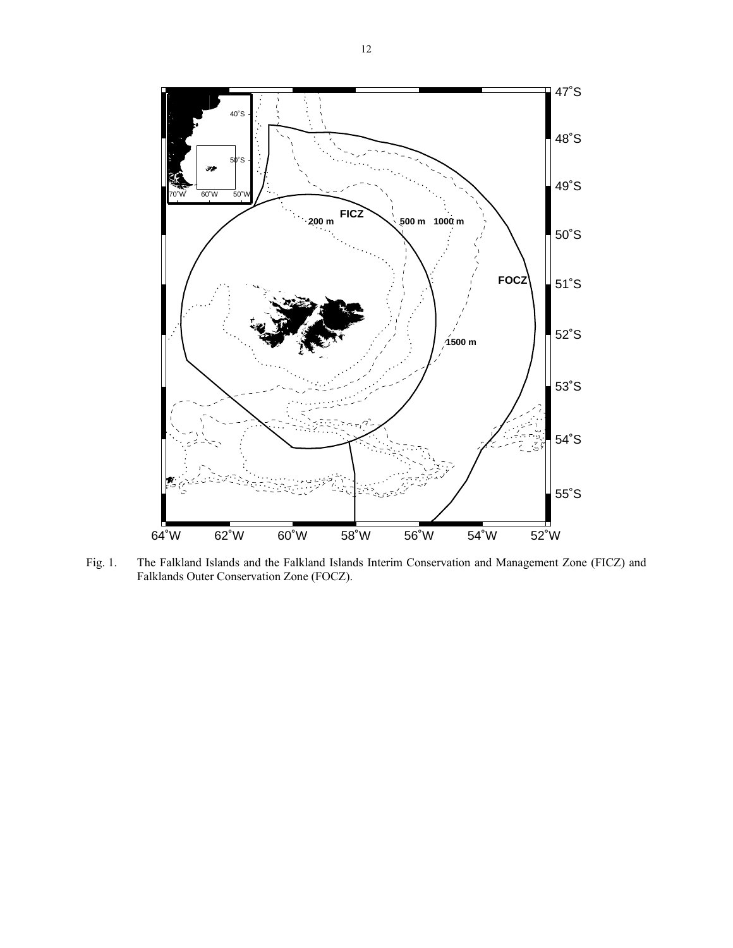

Fig. 1. The Falkland Islands and the Falkland Islands Interim Conservation and Management Zone (FICZ) and Falklands Outer Conservation Zone (FOCZ).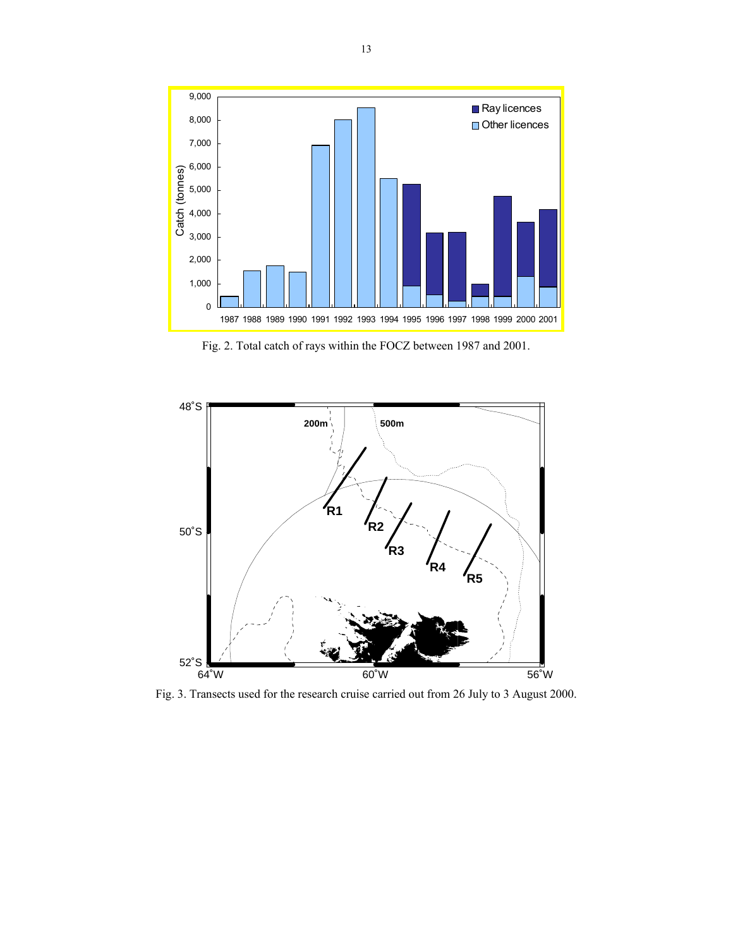

Fig. 2. Total catch of rays within the FOCZ between 1987 and 2001.



Fig. 3. Transects used for the research cruise carried out from 26 July to 3 August 2000.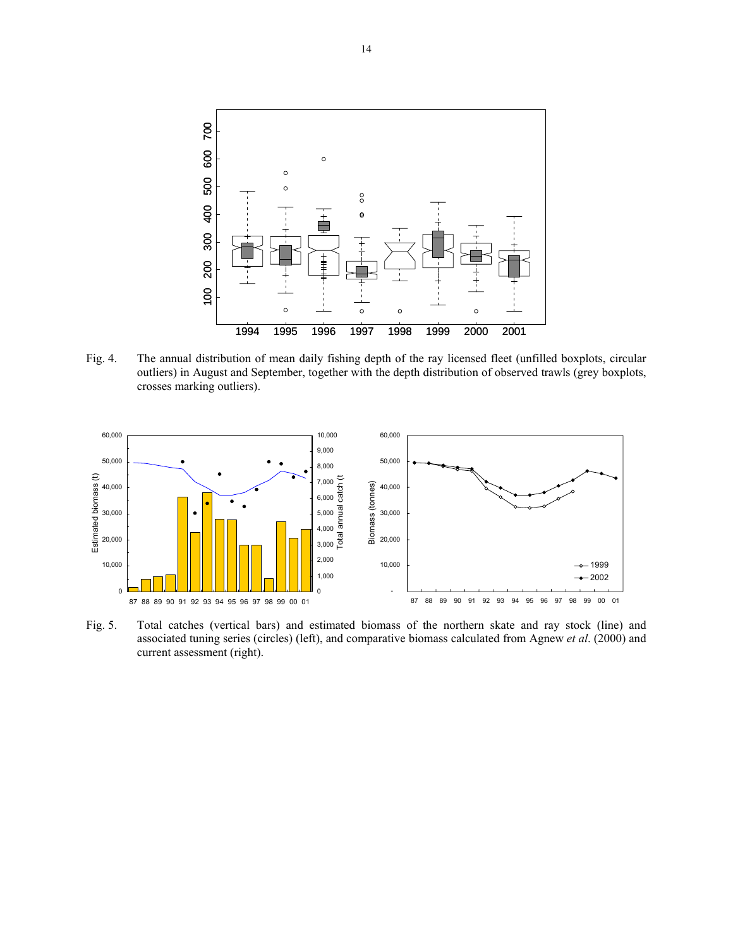

Fig. 4. The annual distribution of mean daily fishing depth of the ray licensed fleet (unfilled boxplots, circular outliers) in August and September, together with the depth distribution of observed trawls (grey boxplots, crosses marking outliers).



Fig. 5. Total catches (vertical bars) and estimated biomass of the northern skate and ray stock (line) and associated tuning series (circles) (left), and comparative biomass calculated from Agnew *et al*. (2000) and current assessment (right).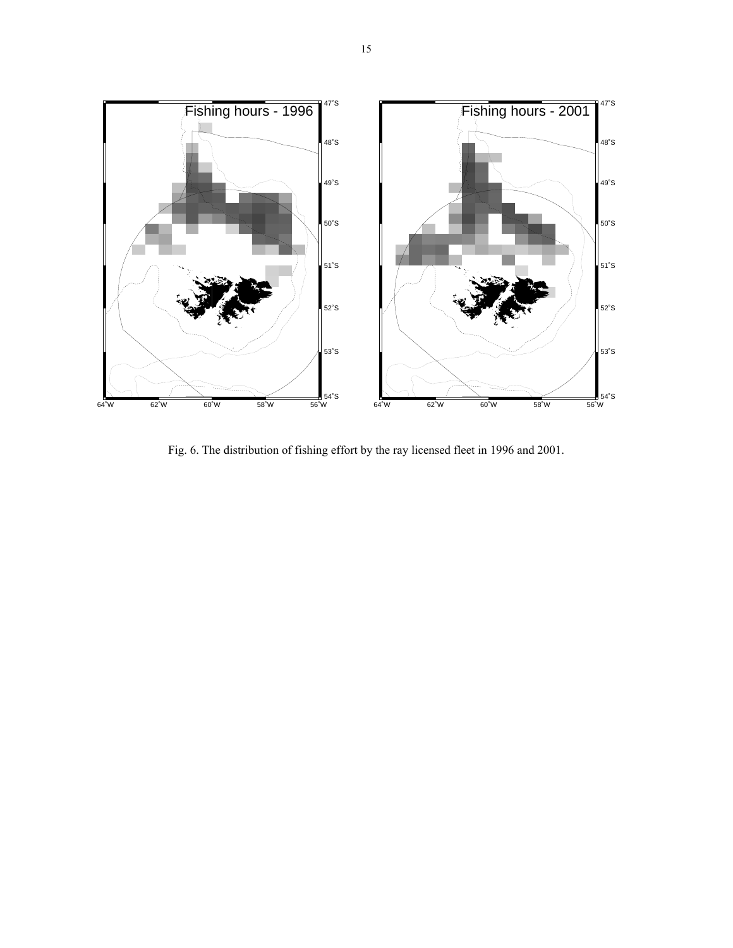

Fig. 6. The distribution of fishing effort by the ray licensed fleet in 1996 and 2001.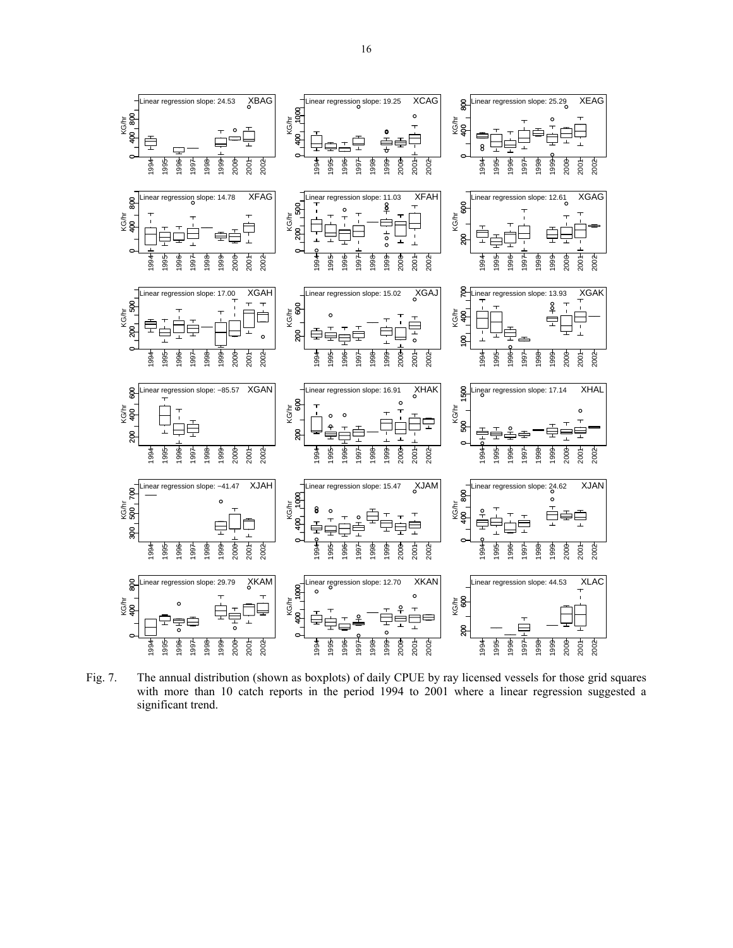

Fig. 7. The annual distribution (shown as boxplots) of daily CPUE by ray licensed vessels for those grid squares with more than 10 catch reports in the period 1994 to 2001 where a linear regression suggested a significant trend.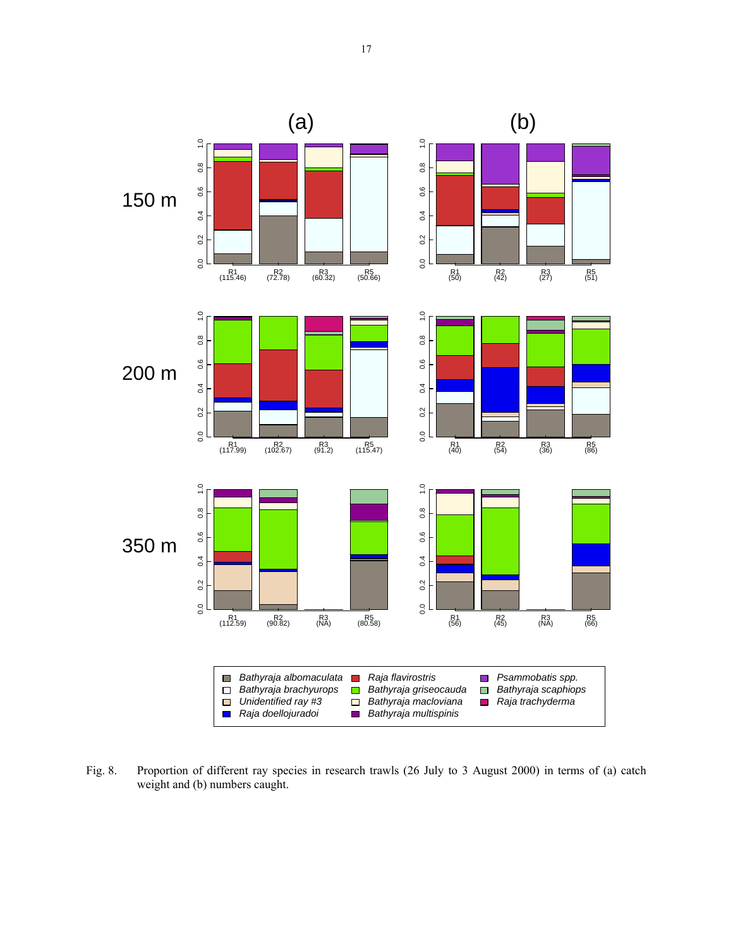

Fig. 8. Proportion of different ray species in research trawls (26 July to 3 August 2000) in terms of (a) catch weight and (b) numbers caught.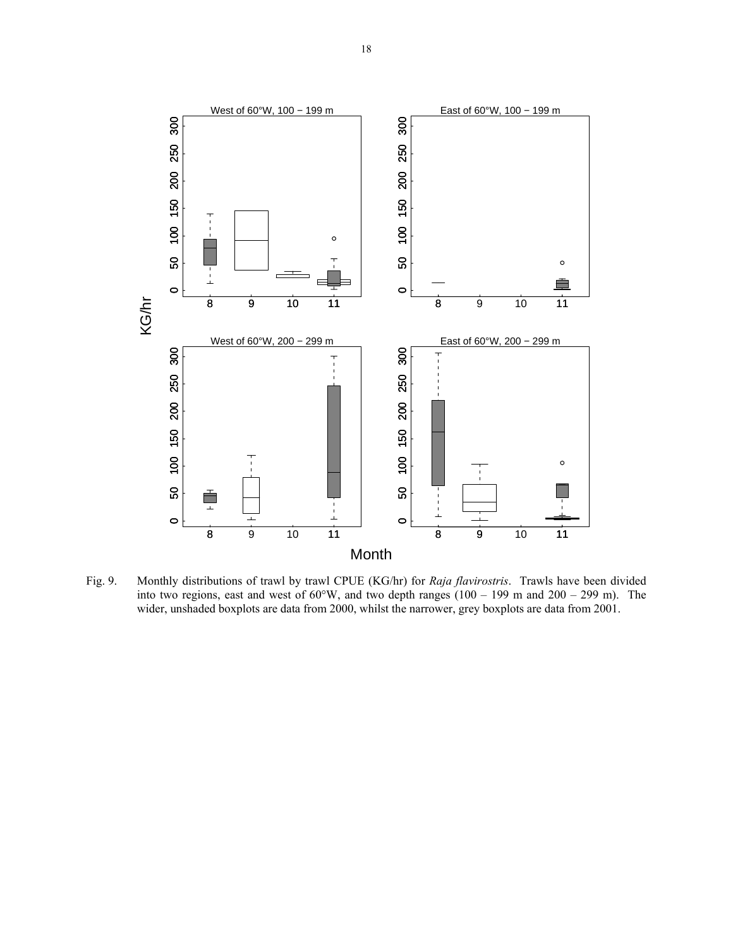

Fig. 9. Monthly distributions of trawl by trawl CPUE (KG/hr) for *Raja flavirostris*. Trawls have been divided into two regions, east and west of  $60^{\circ}$ W, and two depth ranges  $(100 - 199 \text{ m and } 200 - 299 \text{ m})$ . The wider, unshaded boxplots are data from 2000, whilst the narrower, grey boxplots are data from 2001.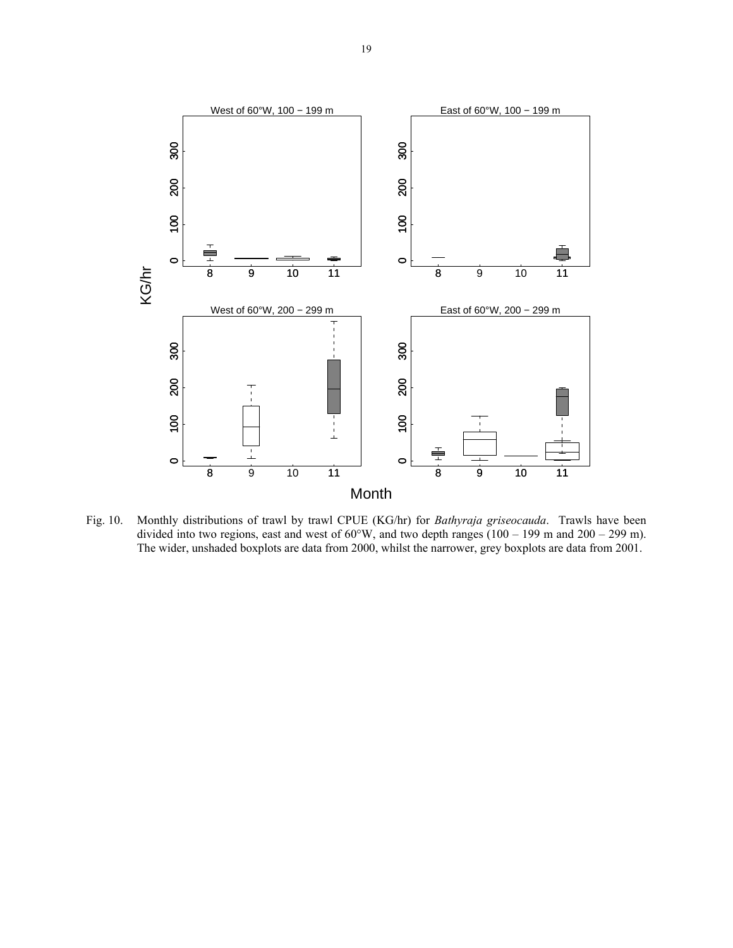

Fig. 10. Monthly distributions of trawl by trawl CPUE (KG/hr) for *Bathyraja griseocauda*. Trawls have been divided into two regions, east and west of  $60^{\circ}$ W, and two depth ranges (100 – 199 m and 200 – 299 m). The wider, unshaded boxplots are data from 2000, whilst the narrower, grey boxplots are data from 2001.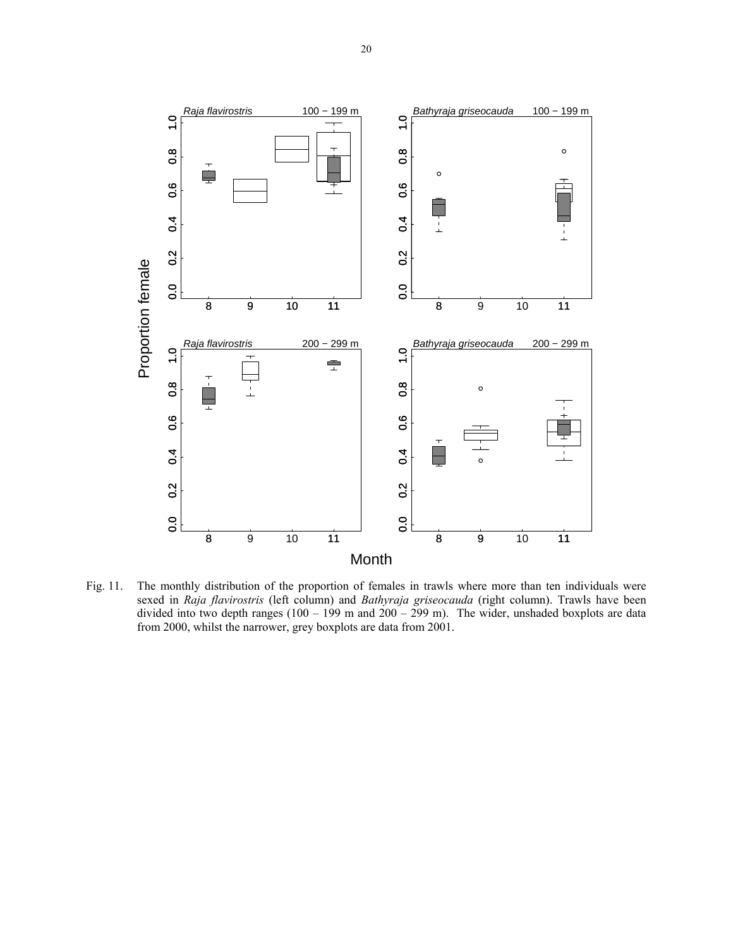

Fig. 11. The monthly distribution of the proportion of females in trawls where more than ten individuals were sexed in *Raja flavirostris* (left column) and *Bathyraja griseocauda* (right column). Trawls have been divided into two depth ranges  $(100 - 199 \text{ m and } 200 - 299 \text{ m})$ . The wider, unshaded boxplots are data from 2000, whilst the narrower, grey boxplots are data from 2001.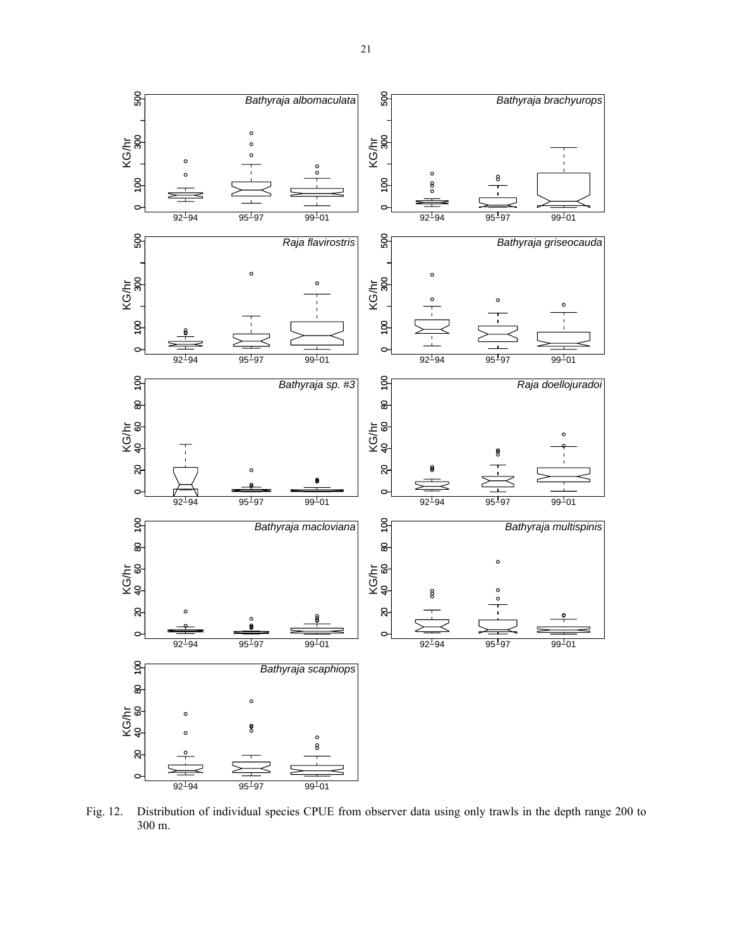

Fig. 12. Distribution of individual species CPUE from observer data using only trawls in the depth range 200 to 300 m.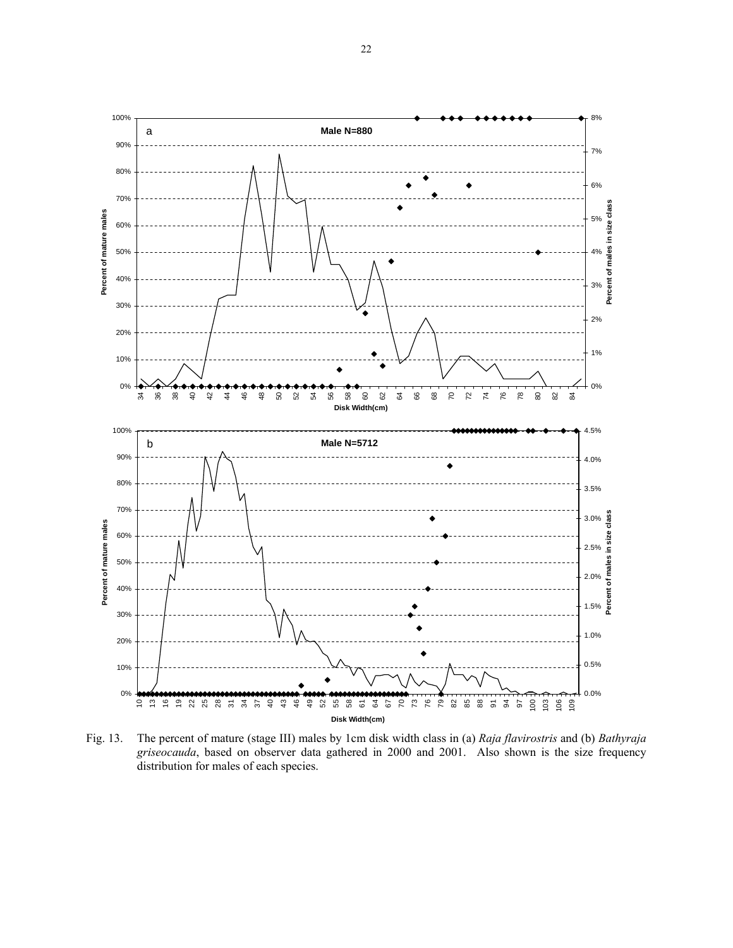22



Fig. 13. The percent of mature (stage III) males by 1cm disk width class in (a) *Raja flavirostris* and (b) *Bathyraja griseocauda*, based on observer data gathered in 2000 and 2001. Also shown is the size frequency distribution for males of each species.